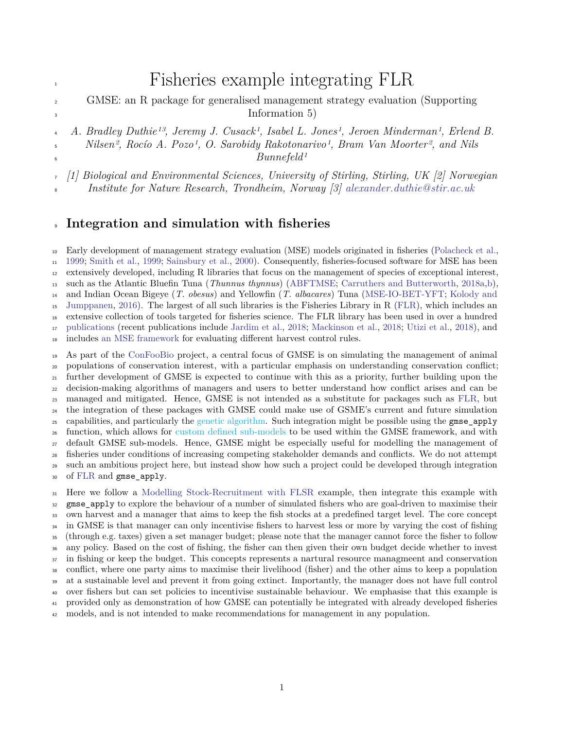# <span id="page-0-0"></span>Fisheries example integrating FLR

- GMSE: an R package for generalised management strategy evaluation (Supporting <sup>3</sup> Information 5)
- *A. Bradley Duthie13, Jeremy J. Cusack1, Isabel L. Jones1, Jeroen Minderman1, Erlend B.*

 *Nilsen2, Rocío A. Pozo1, O. Sarobidy Rakotonarivo1, Bram Van Moorter2, and Nils Bunnefeld1*

*[1] Biological and Environmental Sciences, University of Stirling, Stirling, UK [2] Norwegian*

*Institute for Nature Research, Trondheim, Norway [3] [alexander.duthie@stir.ac.uk](mailto:alexander.duthie@stir.ac.uk)*

#### **Integration and simulation with fisheries**

 Early development of management strategy evaluation (MSE) models originated in fisheries [\(Polacheck et al.,](#page-8-0) [1999;](#page-8-0) [Smith et al.,](#page-8-1) [1999;](#page-8-1) [Sainsbury et al.,](#page-8-2) [2000\)](#page-8-2). Consequently, fisheries-focused software for MSE has been extensively developed, including R libraries that focus on the management of species of exceptional interest, such as the Atlantic Bluefin Tuna (*Thunnus thynnus*) [\(ABFTMSE;](https://github.com/ICCAT/abft-mse/tree/master/R_package/ABTMSE) [Carruthers and Butterworth,](#page-7-0) [2018a](#page-7-0)[,b\)](#page-7-1), [a](#page-7-2)nd Indian Ocean Bigeye (*T. obesus*) and Yellowfin (*T. albacares*) Tuna [\(MSE-IO-BET-YFT;](https://github.com/pjumppanen/MSE-IO-BET-YFT) [Kolody and](#page-7-2) [Jumppanen,](#page-7-2) [2016\)](#page-7-2). The largest of all such libraries is the Fisheries Library in R [\(FLR\)](http://www.flr-project.org/), which includes an extensive collection of tools targeted for fisheries science. The FLR library has been used in over a hundred [publications](http://www.flr-project.org/#publications) (recent publications include [Jardim et al.,](#page-7-3) [2018;](#page-7-3) [Mackinson et al.,](#page-7-4) [2018;](#page-7-4) [Utizi et al.,](#page-8-3) [2018\)](#page-8-3), and includes [an MSE framework](http://www.flr-project.org/doc/An_introduction_to_MSE_using_FLR.html) for evaluating different harvest control rules.

 As part of the [ConFooBio](https://sti-cs.org/confoobio/) project, a central focus of GMSE is on simulating the management of animal populations of conservation interest, with a particular emphasis on understanding conservation conflict; further development of GMSE is expected to continue with this as a priority, further building upon the decision-making algorithms of managers and users to better understand how conflict arises and can be managed and mitigated. Hence, GMSE is not intended as a substitute for packages such as [FLR,](http://www.flr-project.org/) but the integration of these packages with GMSE could make use of GSME's current and future simulation capabilities, and particularly the genetic algorithm. Such integration might be possible using the gmse\_apply function, which allows for custom defined sub-models to be used within the GMSE framework, and with default GMSE sub-models. Hence, GMSE might be especially useful for modelling the management of fisheries under conditions of increasing competing stakeholder demands and conflicts. We do not attempt such an ambitious project here, but instead show how such a project could be developed through integration of [FLR](http://www.flr-project.org/) and gmse\_apply.

 Here we follow a [Modelling Stock-Recruitment with FLSR](http://www.flr-project.org/doc/Modelling_stock_recruitment_with_FLSR.html) example, then integrate this example with gmse\_apply to explore the behaviour of a number of simulated fishers who are goal-driven to maximise their own harvest and a manager that aims to keep the fish stocks at a predefined target level. The core concept <sup>34</sup> in GMSE is that manager can only incentivise fishers to harvest less or more by varying the cost of fishing (through e.g. taxes) given a set manager budget; please note that the manager cannot force the fisher to follow any policy. Based on the cost of fishing, the fisher can then given their own budget decide whether to invest <sup>37</sup> in fishing or keep the budget. This concepts represents a nartural resource managmeent and conservation conflict, where one party aims to maximise their livelihood (fisher) and the other aims to keep a population at a sustainable level and prevent it from going extinct. Importantly, the manager does not have full control over fishers but can set policies to incentivise sustainable behaviour. We emphasise that this example is provided only as demonstration of how GMSE can potentially be integrated with already developed fisheries models, and is not intended to make recommendations for management in any population.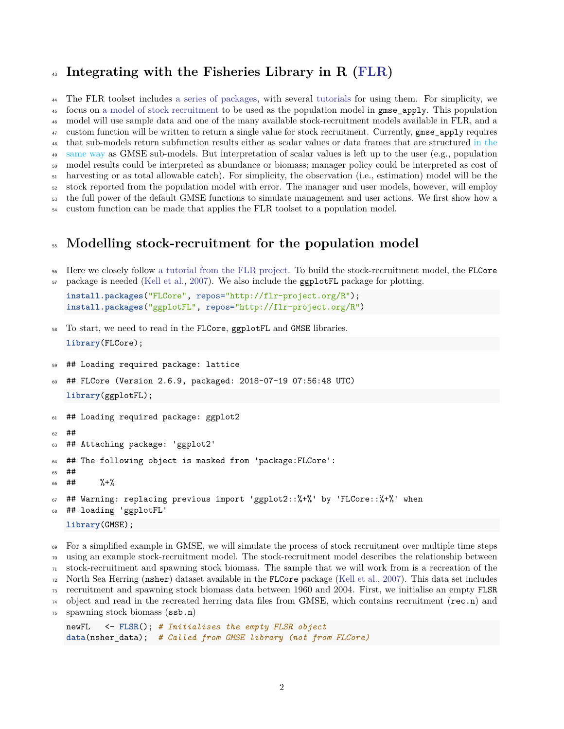## **Integrating with the Fisheries Library in R [\(FLR\)](http://www.flr-project.org/)**

 The FLR toolset includes [a series of packages,](http://www.flr-project.org/#packages) with several [tutorials](http://www.flr-project.org/doc/index.html) for using them. For simplicity, we focus on [a model of stock recruitment](http://www.flr-project.org/doc/Modelling_stock_recruitment_with_FLSR.html) to be used as the population model in gmse\_apply. This population model will use sample data and one of the many available stock-recruitment models available in FLR, and a custom function will be written to return a single value for stock recruitment. Currently, gmse\_apply requires [t](#page-0-0)hat sub-models return subfunction results either as scalar values or data frames that are structured [in the](#page-0-0) <sup>49</sup> [same way](#page-0-0) as GMSE sub-models. But interpretation of scalar values is left up to the user (e.g., population model results could be interpreted as abundance or biomass; manager policy could be interpreted as cost of harvesting or as total allowable catch). For simplicity, the observation (i.e., estimation) model will be the stock reported from the population model with error. The manager and user models, however, will employ the full power of the default GMSE functions to simulate management and user actions. We first show how a

custom function can be made that applies the FLR toolset to a population model.

#### **Modelling stock-recruitment for the population model**

 Here we closely follow [a tutorial from the FLR project.](http://www.flr-project.org/doc/Modelling_stock_recruitment_with_FLSR.html) To build the stock-recruitment model, the FLCore package is needed [\(Kell et al.,](#page-7-5) [2007\)](#page-7-5). We also include the ggplotFL package for plotting.

```
install.packages("FLCore", repos="http://flr-project.org/R");
install.packages("ggplotFL", repos="http://flr-project.org/R")
```
- To start, we need to read in the FLCore, ggplotFL and GMSE libraries. **library**(FLCore);
- ## Loading required package: lattice
- ## FLCore (Version 2.6.9, packaged: 2018-07-19 07:56:48 UTC) **library**(ggplotFL);

```
61 ## Loading required package: ggplot2
62 + 4463 ## Attaching package: 'ggplot2'
64 ## The following object is masked from 'package:FLCore':
65 ##
66 ## \frac{9}{6} \frac{12}{10}67 ## Warning: replacing previous import 'ggplot2::%+%' by 'FLCore::%+%' when
68 ## loading 'ggplotFL'
   library(GMSE);
```
 For a simplified example in GMSE, we will simulate the process of stock recruitment over multiple time steps using an example stock-recruitment model. The stock-recruitment model describes the relationship between stock-recruitment and spawning stock biomass. The sample that we will work from is a recreation of the North Sea Herring (nsher) dataset available in the FLCore package [\(Kell et al.,](#page-7-5) [2007\)](#page-7-5). This data set includes recruitment and spawning stock biomass data between 1960 and 2004. First, we initialise an empty FLSR object and read in the recreated herring data files from GMSE, which contains recruitment (rec.n) and spawning stock biomass (ssb.n)

```
newFL <- FLSR(); # Initialises the empty FLSR object
data(nsher_data); # Called from GMSE library (not from FLCore)
```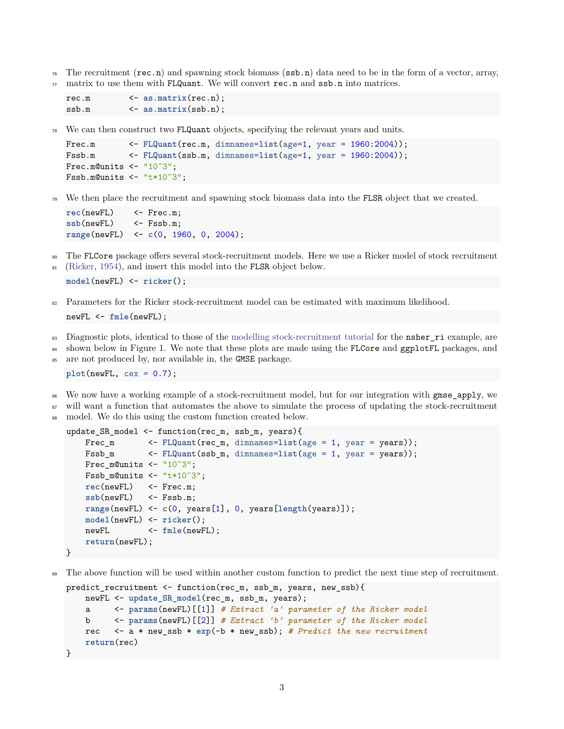$_{76}$  The recruitment (rec.n) and spawning stock biomass (ssb.n) data need to be in the form of a vector, array,  $\pi$  matrix to use them with FLQuant. We will convert rec.n and ssb.n into matrices.

```
rec.m <- as.matrix(rec.n);
ssb.m <- as.matrix(ssb.n);
```
<sup>78</sup> We can then construct two FLQuant objects, specifying the relevant years and units.

```
Frec.m \leq FLQuant(rec.m, dimnames=list(age=1, year = 1960:2004));
Fssb.m <- FLQuant(ssb.m, dimnames=list(age=1, year = 1960:2004));
Frec.m@units \leq - "10^3";
Fssb.m@units \leq - "t*10^3";
```
<sup>79</sup> We then place the recruitment and spawning stock biomass data into the FLSR object that we created.

```
rec(newFL) <- Frec.m;
ssb(newFL) \leq Fssb.m;
range(newFL) <- c(0, 1960, 0, 2004);
```
- <sup>80</sup> The FLCore package offers several stock-recruitment models. Here we use a Ricker model of stock recruitment
- 81 [\(Ricker,](#page-8-4) [1954\)](#page-8-4), and insert this model into the FLSR object below.

```
model(newFL) <- ricker();
```
82 Parameters for the Ricker stock-recruitment model can be estimated with maximum likelihood.

```
newFL <- fmle(newFL);
```
- <sup>83</sup> Diagnostic plots, identical to those of the [modelling stock-recruitment tutorial](http://www.flr-project.org/doc/Modelling_stock_recruitment_with_FLSR.html) for the **nsher\_ri** example, are
- 84 shown below in Figure 1. We note that these plots are made using the FLCore and ggplotFL packages, and
- <sup>85</sup> are not produced by, nor available in, the GMSE package.

**plot**(newFL, cex = 0.7);

- We now have a working example of a stock-recruitment model, but for our integration with gmse\_apply, we
- <sup>87</sup> will want a function that automates the above to simulate the process of updating the stock-recruitment
- model. We do this using the custom function created below.

```
update SR model \leq function(rec m, ssb m, years){
   Frec_m <- FLQuant(rec_m, dimnames=list(age = 1, year = years));
   Fssb_m <- FLQuant(ssb_m, dimnames=list(age = 1, year = years));
   Frec_m@units <- "10^3";
   Fssb_m@units <- "t*10^3";
   rec(newFL) <- Frec.m;
   ssb(newFL) \leq Fssb.m;
   range(newFL) <- c(0, years[1], 0, years[length(years)]);
   model(newFL) <- ricker();
   newFL <- fmle(newFL);
   return(newFL);
}
```
The above function will be used within another custom function to predict the next time step of recruitment.

```
predict_recruitment <- function(rec_m, ssb_m, years, new_ssb){
   newFL <- update_SR_model(rec_m, ssb_m, years);
          a <- params(newFL)[[1]] # Extract 'a' parameter of the Ricker model
   b <- params(newFL)[[2]] # Extract 'b' parameter of the Ricker model
    rec <- a * new_ssb * exp(-b * new_ssb); # Predict the new recruitment
    return(rec)
}
```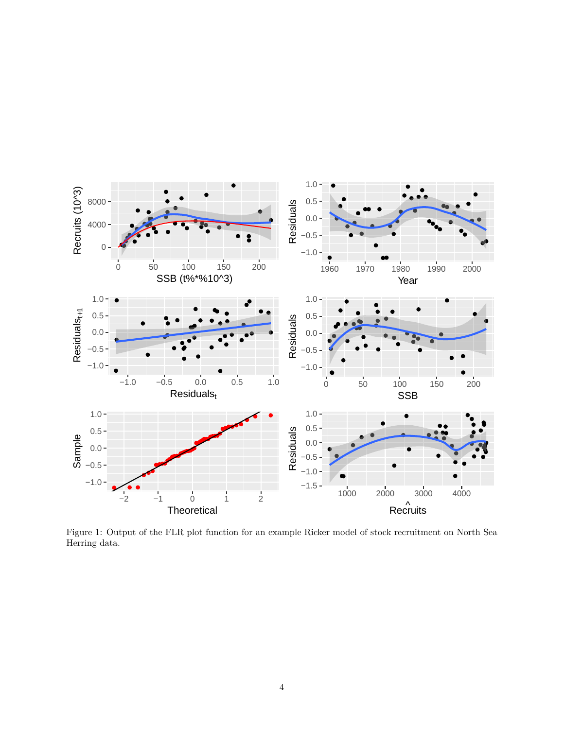

Figure 1: Output of the FLR plot function for an example Ricker model of stock recruitment on North Sea Herring data.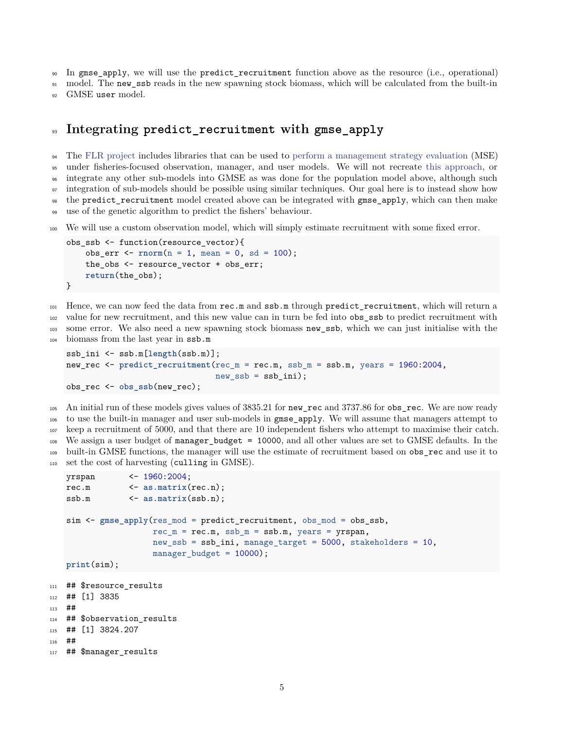<sup>90</sup> In gmse apply, we will use the predict recruitment function above as the resource (i.e., operational)

<sup>91</sup> model. The new ssb reads in the new spawning stock biomass, which will be calculated from the built-in <sup>92</sup> GMSE user model.

### <sup>93</sup> **Integrating predict\_recruitment with gmse\_apply**

<sup>94</sup> The [FLR project](http://www.flr-project.org/) includes libraries that can be used to [perform a management strategy evaluation](http://www.flr-project.org/doc/An_introduction_to_MSE_using_FLR.html) (MSE) under fisheries-focused observation, manager, and user models. We will not recreate [this approach,](http://www.flr-project.org/doc/An_introduction_to_MSE_using_FLR.html) or integrate any other sub-models into GMSE as was done for the population model above, although such integration of sub-models should be possible using similar techniques. Our goal here is to instead show how the predict\_recruitment model created above can be integrated with gmse\_apply, which can then make

<sup>99</sup> use of the genetic algorithm to predict the fishers' behaviour.

<sup>100</sup> We will use a custom observation model, which will simply estimate recruitment with some fixed error.

```
obs_ssb <- function(resource_vector){
    obs_err <- rnorm(n = 1, mean = 0, sd = 100);
    the obs \leq resource vector + obs err;
    return(the_obs);
}
```
<sup>101</sup> Hence, we can now feed the data from rec.m and ssb.m through predict\_recruitment, which will return a <sup>102</sup> value for new recruitment, and this new value can in turn be fed into obs\_ssb to predict recruitment with

<sup>103</sup> some error. We also need a new spawning stock biomass new\_ssb, which we can just initialise with the

<sup>104</sup> biomass from the last year in ssb.m

```
ssb_ini <- ssb.m[length(ssb.m)];
new_rec <- predict_recruitment(rec_m = rec.m, ssb_m = ssb.m, years = 1960:2004,
                               new ssb = ssb ini;
obs_rec <- obs_ssb(new_rec);
```
 An initial run of these models gives values of 3835.21 for new\_rec and 3737.86 for obs\_rec. We are now ready to use the built-in manager and user sub-models in gmse\_apply. We will assume that managers attempt to keep a recruitment of 5000, and that there are 10 independent fishers who attempt to maximise their catch. We assign a user budget of manager\_budget = 10000, and all other values are set to GMSE defaults. In the 109 built-in GMSE functions, the manager will use the estimate of recruitment based on obs rec and use it to set the cost of harvesting (culling in GMSE).

```
yrspan <- 1960:2004;
rec.m <- as.matrix(rec.n);
ssb.m <- as.matrix(ssb.n);
sim <- gmse_apply(res_mod = predict_recruitment, obs_mod = obs_ssb,
                 rec_m = rec.m, ssb_m = ssb.m, years = yrspan,new_ssb = ssb_ini, manage_target = 5000, stakeholders = 10,
                 manager budget = 10000;
print(sim);
```

```
111 ## $resource_results
112 ## [1] 3835
113 ##
114 ## $observation_results
115 ## [1] 3824.207
116 ##
117 ## $manager_results
```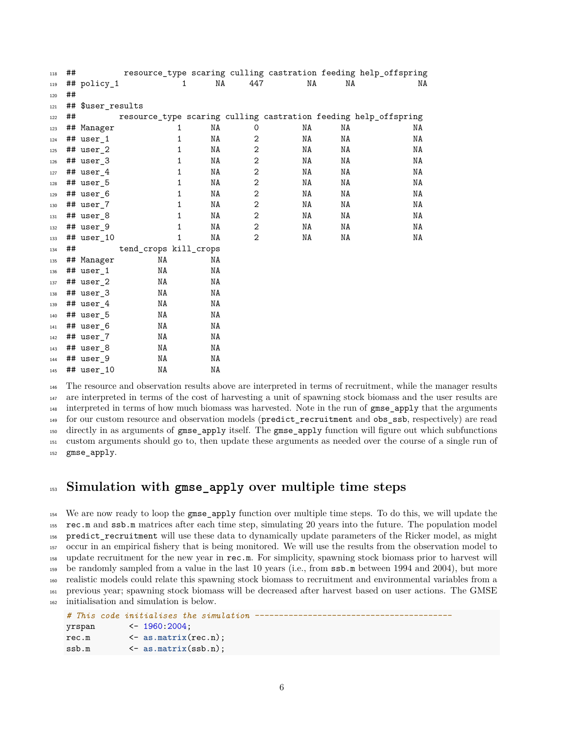| 118 | ## |                   |                       |              |    |                |    |    | resource_type scaring culling castration feeding help_offspring |
|-----|----|-------------------|-----------------------|--------------|----|----------------|----|----|-----------------------------------------------------------------|
| 119 |    | ## policy_1       |                       | $\mathbf{1}$ | NA | 447            | NA | NA | NA                                                              |
| 120 | ## |                   |                       |              |    |                |    |    |                                                                 |
| 121 |    | ## \$user_results |                       |              |    |                |    |    |                                                                 |
| 122 | ## |                   |                       |              |    |                |    |    | resource_type scaring culling castration feeding help_offspring |
| 123 |    | ## Manager        |                       | 1            | NA | 0              | ΝA | ΝA | NA                                                              |
| 124 |    | ## user 1         |                       | 1            | ΝA | 2              | NA | NA | NA                                                              |
| 125 |    | ## user 2         |                       | 1            | NA | $\mathbf 2$    | NA | NA | NA                                                              |
| 126 |    | ## user 3         |                       | 1            | NA | $\mathbf{2}$   | NA | NA | NA                                                              |
| 127 |    | ## user 4         |                       | 1            | NA | $\overline{2}$ | NA | NA | NA                                                              |
| 128 |    | ## user_5         |                       | 1            | NA | $\mathbf 2$    | NA | NA | NA                                                              |
| 129 |    | ## user 6         |                       | 1            | NA | $\mathbf{2}$   | NA | NA | NA                                                              |
| 130 |    | ## user 7         |                       | 1            | NA | $\mathbf 2$    | NA | NA | NA                                                              |
| 131 |    | ## user 8         |                       | 1            | NA | $\mathbf{2}$   | NA | NA | NA                                                              |
| 132 |    | ## user 9         |                       | 1            | ΝA | $\mathbf{2}$   | NA | NA | NA                                                              |
| 133 |    | ## user 10        |                       | 1            | ΝA | $\overline{2}$ | NA | NA | NA                                                              |
| 134 | ## |                   | tend_crops kill_crops |              |    |                |    |    |                                                                 |
| 135 |    | ## Manager        | NA                    |              | NA |                |    |    |                                                                 |
| 136 |    | ## user 1         | NA                    |              | ΝA |                |    |    |                                                                 |
| 137 |    | ## user_2         | NA                    |              | NA |                |    |    |                                                                 |
| 138 |    | ## user_3         | NA                    |              | ΝA |                |    |    |                                                                 |
| 139 |    | ## user 4         | NA                    |              | NA |                |    |    |                                                                 |
| 140 |    | ## user 5         | NA                    |              | ΝA |                |    |    |                                                                 |
| 141 |    | ## user 6         | NA                    |              | ΝA |                |    |    |                                                                 |
| 142 |    | ## user 7         | NA                    |              | ΝA |                |    |    |                                                                 |
| 143 |    | ## user 8         | NA                    |              | ΝA |                |    |    |                                                                 |
| 144 |    | ## user_9         | NA                    |              | ΝA |                |    |    |                                                                 |
| 145 |    | ## user 10        | NA                    |              | ΝA |                |    |    |                                                                 |

 The resource and observation results above are interpreted in terms of recruitment, while the manager results are interpreted in terms of the cost of harvesting a unit of spawning stock biomass and the user results are interpreted in terms of how much biomass was harvested. Note in the run of gmse\_apply that the arguments for our custom resource and observation models (predict\_recruitment and obs\_ssb, respectively) are read directly in as arguments of gmse\_apply itself. The gmse\_apply function will figure out which subfunctions custom arguments should go to, then update these arguments as needed over the course of a single run of gmse\_apply.

#### **Simulation with gmse\_apply over multiple time steps**

 We are now ready to loop the gmse\_apply function over multiple time steps. To do this, we will update the rec.m and ssb.m matrices after each time step, simulating 20 years into the future. The population model predict\_recruitment will use these data to dynamically update parameters of the Ricker model, as might occur in an empirical fishery that is being monitored. We will use the results from the observation model to update recruitment for the new year in rec.m. For simplicity, spawning stock biomass prior to harvest will be randomly sampled from a value in the last 10 years (i.e., from ssb.m between 1994 and 2004), but more realistic models could relate this spawning stock biomass to recruitment and environmental variables from a previous year; spawning stock biomass will be decreased after harvest based on user actions. The GMSE initialisation and simulation is below.

```
# This code initialises the simulation -----------------------------------------
yrspan <- 1960:2004;
rec.m <- as.matrix(rec.n);
ssb.m <- as.matrix(ssb.n);
```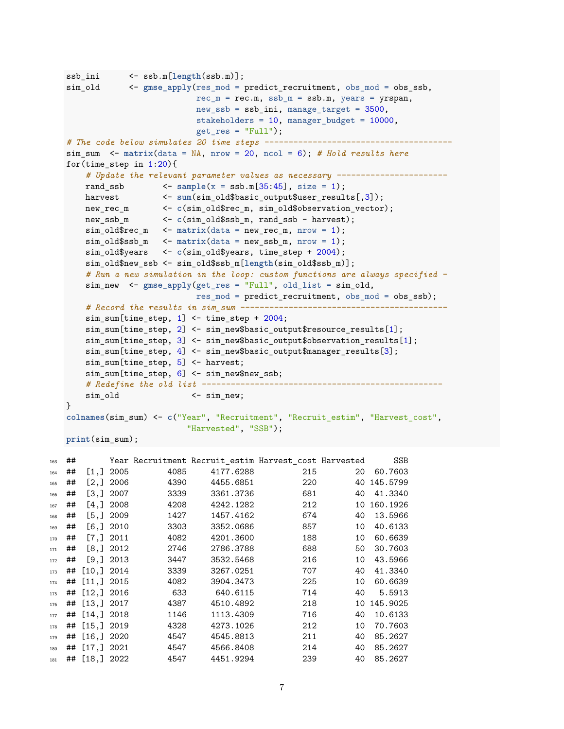```
ssb_ini <- ssb.m[length(ssb.m)];
sim_old <- gmse_apply(res_mod = predict_recruitment, obs_mod = obs_ssb,
                             rec_m = rec.m, ssb_m = ssb.m, years = yrspan,new ssb = ssb ini, manage target = 3500,
                             stakeholders = 10, manager_budget = 10000,
                             get res = "Full");
# The code below simulates 20 time steps ---------------------------------------
sim sum \le matrix(data = NA, nrow = 20, ncol = 6); # Hold results here
for(time step in 1:20){
    # Update the relevant parameter values as necessary -----------------------
    rand_ssb \leftarrow sample(x = ssb.m[35:45], size = 1);
    harvest <- sum(sim_old$basic_output$user_results[,3]);
    new_rec_m <- c(sim_old$rec_m, sim_old$observation_vector);
   new_rec_m <br>
and intervalses in the contract of the state of the state of the state of the state of the state of the state of the state of the state of the state of the state of the state of the state of the state of the st
    sim\_old$rec_m <- matrix(data = new\_rec_m, nrow = 1);sim_old$ssb_m <- matrix(data = new_ssb_m, nrow = 1);
    sim_old$years <- c(sim_old$years, time_step + 2004);
    sim_old$new_ssb <- sim_old$ssb_m[length(sim_old$ssb_m)];
    # Run a new simulation in the loop: custom functions are always specified -
    sim_new <- gmse_apply(get_res = "Full", old_list = sim_old,
                             res mod = predict recruitment, obs mod = obs ssb);
    # Record the results in sim_sum -------------------------------------------
    sim_sum[time_step, 1] <- time_step + 2004;
    sim_sum[time_step, 2] <- sim_new$basic_output$resource_results[1];
    sim_sum[time_step, 3] <- sim_new$basic_output$observation_results[1];
    sim_sum[time_step, 4] <- sim_new$basic_output$manager_results[3];
    sim_sum[time_step, 5] <- harvest;
    sim_sum[time_step, 6] <- sim_new$new_ssb;
    # Redefine the old list --------------------------------------------------
    sim_old <- sim_new;
}
colnames(sim_sum) <- c("Year", "Recruitment", "Recruit_estim", "Harvest_cost",
                          "Harvested", "SSB");
print(sim_sum);
```

| 163 | ## |               |             |      | Year Recruitment Recruit estim Harvest cost Harvested |     |    | <b>SSB</b> |
|-----|----|---------------|-------------|------|-------------------------------------------------------|-----|----|------------|
| 164 | ## |               | $[1,]$ 2005 | 4085 | 4177.6288                                             | 215 | 20 | 60.7603    |
| 165 | ## |               | $[2,]$ 2006 | 4390 | 4455.6851                                             | 220 | 40 | 145.5799   |
| 166 | ## |               | $[3,]$ 2007 | 3339 | 3361.3736                                             | 681 | 40 | 41.3340    |
| 167 | ## |               | $[4,]$ 2008 | 4208 | 4242.1282                                             | 212 | 10 | 160.1926   |
| 168 | ## |               | $[5,]$ 2009 | 1427 | 1457.4162                                             | 674 | 40 | 13.5966    |
| 169 | ## |               | $[6,]$ 2010 | 3303 | 3352.0686                                             | 857 | 10 | 40.6133    |
| 170 | ## |               | [7,] 2011   | 4082 | 4201.3600                                             | 188 | 10 | 60.6639    |
| 171 | ## |               | $[8,]$ 2012 | 2746 | 2786.3788                                             | 688 | 50 | 30.7603    |
| 172 | ## |               | $[9,]$ 2013 | 3447 | 3532.5468                                             | 216 | 10 | 43.5966    |
| 173 | ## | [10, 32014]   |             | 3339 | 3267.0251                                             | 707 | 40 | 41.3340    |
| 174 | ## | [11, 12015]   |             | 4082 | 3904.3473                                             | 225 | 10 | 60.6639    |
| 175 | ## | [12,] 2016    |             | 633  | 640.6115                                              | 714 | 40 | 5.5913     |
| 176 | ## | $[13, ]$ 2017 |             | 4387 | 4510.4892                                             | 218 | 10 | 145.9025   |
| 177 | ## | [14, 12018]   |             | 1146 | 1113.4309                                             | 716 | 40 | 10.6133    |
| 178 | ## | [15, 2019]    |             | 4328 | 4273.1026                                             | 212 | 10 | 70.7603    |
| 179 | ## | [16, 32020]   |             | 4547 | 4545.8813                                             | 211 | 40 | 85.2627    |
| 180 | ## | [17,]2021     |             | 4547 | 4566.8408                                             | 214 | 40 | 85.2627    |
| 181 |    | ## [18,] 2022 |             | 4547 | 4451.9294                                             | 239 | 40 | 85.2627    |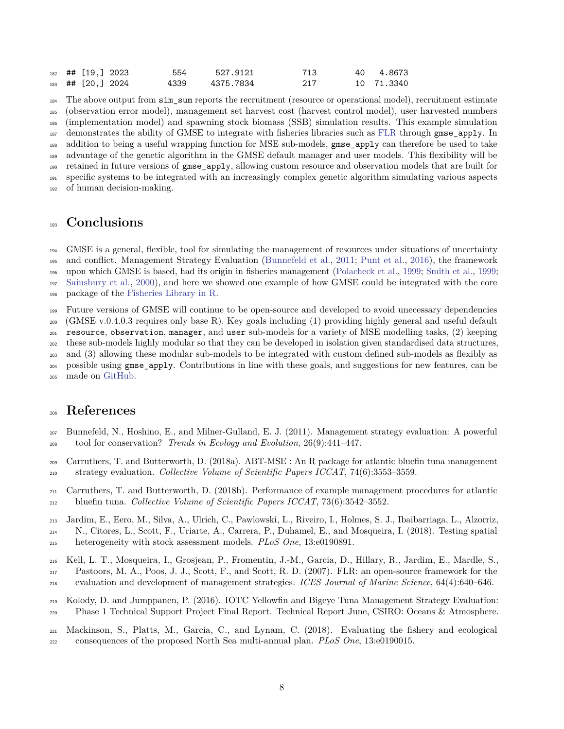|  | $182$ ## [19,] 2023 | 554  | 527.9121  | 713 | 40 4.8673  |
|--|---------------------|------|-----------|-----|------------|
|  | $183$ ## [20,] 2024 | 4339 | 4375.7834 | 217 | 10 71.3340 |

 The above output from sim\_sum reports the recruitment (resource or operational model), recruitment estimate (observation error model), management set harvest cost (harvest control model), user harvested numbers (implementation model) and spawning stock biomass (SSB) simulation results. This example simulation demonstrates the ability of GMSE to integrate with fisheries libraries such as [FLR](http://www.flr-project.org/) through gmse\_apply. In addition to being a useful wrapping function for MSE sub-models, gmse\_apply can therefore be used to take advantage of the genetic algorithm in the GMSE default manager and user models. This flexibility will be retained in future versions of gmse\_apply, allowing custom resource and observation models that are built for specific systems to be integrated with an increasingly complex genetic algorithm simulating various aspects of human decision-making.

## **Conclusions**

 GMSE is a general, flexible, tool for simulating the management of resources under situations of uncertainty and conflict. Management Strategy Evaluation [\(Bunnefeld et al.,](#page-7-6) [2011;](#page-7-6) [Punt et al.,](#page-8-5) [2016\)](#page-8-5), the framework upon which GMSE is based, had its origin in fisheries management [\(Polacheck et al.,](#page-8-0) [1999;](#page-8-0) [Smith et al.,](#page-8-1) [1999;](#page-8-1) [Sainsbury et al.,](#page-8-2) [2000\)](#page-8-2), and here we showed one example of how GMSE could be integrated with the core package of the [Fisheries Library in R.](http://www.flr-project.org/)

 Future versions of GMSE will continue to be open-source and developed to avoid unecessary dependencies (GMSE v.0.4.0.3 requires only base R). Key goals including (1) providing highly general and useful default resource, observation, manager, and user sub-models for a variety of MSE modelling tasks, (2) keeping these sub-models highly modular so that they can be developed in isolation given standardised data structures, and (3) allowing these modular sub-models to be integrated with custom defined sub-models as flexibly as possible using gmse\_apply. Contributions in line with these goals, and suggestions for new features, can be

made on [GitHub.](https://github.com/bradduthie/gmse)

## **References**

- <span id="page-7-6"></span> Bunnefeld, N., Hoshino, E., and Milner-Gulland, E. J. (2011). Management strategy evaluation: A powerful tool for conservation? *Trends in Ecology and Evolution*, 26(9):441–447.
- <span id="page-7-0"></span> Carruthers, T. and Butterworth, D. (2018a). ABT-MSE : An R package for atlantic bluefin tuna management strategy evaluation. *Collective Volume of Scientific Papers ICCAT*, 74(6):3553–3559.
- <span id="page-7-1"></span> Carruthers, T. and Butterworth, D. (2018b). Performance of example management procedures for atlantic bluefin tuna. *Collective Volume of Scientific Papers ICCAT*, 73(6):3542–3552.
- <span id="page-7-3"></span> Jardim, E., Eero, M., Silva, A., Ulrich, C., Pawlowski, L., Riveiro, I., Holmes, S. J., Ibaibarriaga, L., Alzorriz, N., Citores, L., Scott, F., Uriarte, A., Carrera, P., Duhamel, E., and Mosqueira, I. (2018). Testing spatial heterogeneity with stock assessment models. *PLoS One*, 13:e0190891.
- <span id="page-7-5"></span> Kell, L. T., Mosqueira, I., Grosjean, P., Fromentin, J.-M., Garcia, D., Hillary, R., Jardim, E., Mardle, S., Pastoors, M. A., Poos, J. J., Scott, F., and Scott, R. D. (2007). FLR: an open-source framework for the evaluation and development of management strategies. *ICES Journal of Marine Science*, 64(4):640–646.
- <span id="page-7-2"></span> Kolody, D. and Jumppanen, P. (2016). IOTC Yellowfin and Bigeye Tuna Management Strategy Evaluation: Phase 1 Technical Support Project Final Report. Technical Report June, CSIRO: Oceans & Atmosphere.
- <span id="page-7-4"></span> Mackinson, S., Platts, M., Garcia, C., and Lynam, C. (2018). Evaluating the fishery and ecological consequences of the proposed North Sea multi-annual plan. *PLoS One*, 13:e0190015.